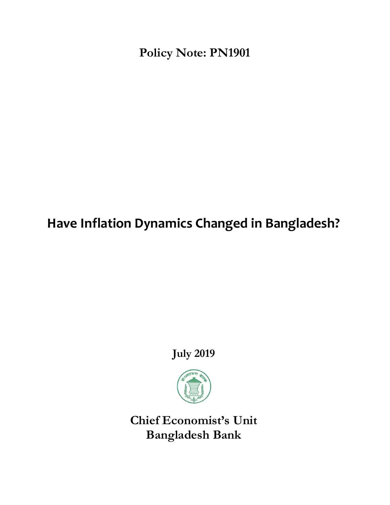**Policy Note: PN1901**

# **Have Inflation Dynamics Changed in Bangladesh?**

**July 2019**



**Chief Economist's Unit Bangladesh Bank**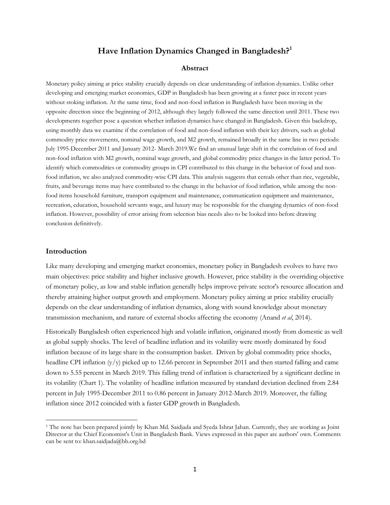# **Have Inflation Dynamics Changed in Bangladesh?<sup>1</sup>**

## **Abstract**

Monetary policy aiming at price stability crucially depends on clear understanding of inflation dynamics. Unlike other developing and emerging market economies, GDP in Bangladesh has been growing at a faster pace in recent years without stoking inflation. At the same time, food and non-food inflation in Bangladesh have been moving in the opposite direction since the beginning of 2012, although they largely followed the same direction until 2011. These two developments together pose a question whether inflation dynamics have changed in Bangladesh. Given this backdrop, using monthly data we examine if the correlation of food and non-food inflation with their key drivers, such as global commodity price movements, nominal wage growth, and M2 growth, remained broadly in the same line in two periods: July 1995-December 2011 and January 2012- March 2019.We find an unusual large shift in the correlation of food and non-food inflation with M2 growth, nominal wage growth, and global commodity price changes in the latter period. To identify which commodities or commodity groups in CPI contributed to this change in the behavior of food and nonfood inflation, we also analyzed commodity-wise CPI data. This analysis suggests that cereals other than rice, vegetable, fruits, and beverage items may have contributed to the change in the behavior of food inflation, while among the nonfood items household furniture, transport equipment and maintenance, communication equipment and maintenance, recreation, education, household servants wage, and luxury may be responsible for the changing dynamics of non-food inflation. However, possibility of error arising from selection bias needs also to be looked into before drawing conclusion definitively.

## **Introduction**

 $\overline{a}$ 

Like many developing and emerging market economies, monetary policy in Bangladesh evolves to have two main objectives: price stability and higher inclusive growth. However, price stability is the overriding objective of monetary policy, as low and stable inflation generally helps improve private sector's resource allocation and thereby attaining higher output growth and employment. Monetary policy aiming at price stability crucially depends on the clear understanding of inflation dynamics, along with sound knowledge about monetary transmission mechanism, and nature of external shocks affecting the economy (Anand *et al*, 2014).

Historically Bangladesh often experienced high and volatile inflation, originated mostly from domestic as well as global supply shocks. The level of headline inflation and its volatility were mostly dominated by food inflation because of its large share in the consumption basket. Driven by global commodity price shocks, headline CPI inflation  $(y/y)$  picked up to 12.66 percent in September 2011 and then started falling and came down to 5.55 percent in March 2019. This falling trend of inflation is characterized by a significant decline in its volatility (Chart 1). The volatility of headline inflation measured by standard deviation declined from 2.84 percent in July 1995-December 2011 to 0.86 percent in January 2012-March 2019. Moreover, the falling inflation since 2012 coincided with a faster GDP growth in Bangladesh.

<sup>1</sup> The note has been prepared jointly by Khan Md. Saidjada and Syeda Ishrat Jahan. Currently, they are working as Joint Director at the Chief Economist's Unit in Bangladesh Bank. Views expressed in this paper are authors' own. Comments can be sent to: khan.saidjada@bb.org.bd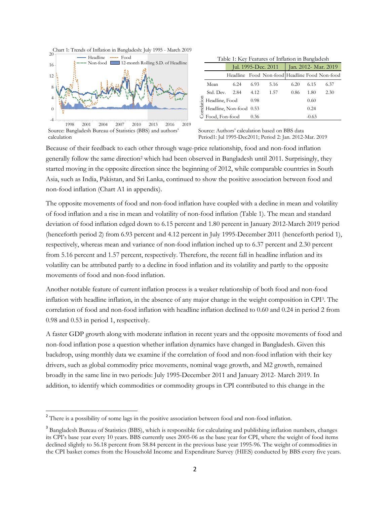

Source: Bangladesh Bureau of Statistics (BBS) and authors' calculation 1998 2001 2004 2007 2010 2013 2016 2019

| Table 1: Key Features of Inflation in Bangladesh |  |  |
|--------------------------------------------------|--|--|
|                                                  |  |  |

|        |                | Jul. 1995-Dec. 2011                                 |      |                                               | Jan. 2012- Mar. 2019 |         |      |
|--------|----------------|-----------------------------------------------------|------|-----------------------------------------------|----------------------|---------|------|
|        |                |                                                     |      | Headline Food Non-food Headline Food Non-food |                      |         |      |
| lation | Mean           | 6.24                                                | 6.93 | 5.16                                          | 6.20                 | 6.15    | 6.37 |
|        | Std. Dev.      | 2.84                                                | 4.12 | 1.57                                          | 0.86                 | 1.80    | 2.30 |
|        | Headline, Food |                                                     | 0.98 |                                               |                      | 0.60    |      |
|        |                | ed Headline, Non-food 0.53<br>S Food, Fon-food 0.36 |      |                                               |                      | 0.24    |      |
|        |                |                                                     |      |                                               |                      | $-0.63$ |      |

Source: Authors' calculation based on BBS data Period1: Jul 1995-Dec2011; Period 2: Jan. 2012-Mar. 2019

Because of their feedback to each other through wage-price relationship, food and non-food inflation generally follow the same direction<sup>2</sup> which had been observed in Bangladesh until 2011. Surprisingly, they started moving in the opposite direction since the beginning of 2012, while comparable countries in South Asia, such as India, Pakistan, and Sri Lanka, continued to show the positive association between food and non-food inflation (Chart A1 in appendix).

The opposite movements of food and non-food inflation have coupled with a decline in mean and volatility of food inflation and a rise in mean and volatility of non-food inflation (Table 1). The mean and standard deviation of food inflation edged down to 6.15 percent and 1.80 percent in January 2012-March 2019 period (henceforth period 2) from 6.93 percent and 4.12 percent in July 1995-December 2011 (henceforth period 1), respectively, whereas mean and variance of non-food inflation inched up to 6.37 percent and 2.30 percent from 5.16 percent and 1.57 percent, respectively. Therefore, the recent fall in headline inflation and its volatility can be attributed partly to a decline in food inflation and its volatility and partly to the opposite movements of food and non-food inflation.

Another notable feature of current inflation process is a weaker relationship of both food and non-food inflation with headline inflation, in the absence of any major change in the weight composition in CPI<sup>3</sup> . The correlation of food and non-food inflation with headline inflation declined to 0.60 and 0.24 in period 2 from 0.98 and 0.53 in period 1, respectively.

A faster GDP growth along with moderate inflation in recent years and the opposite movements of food and non-food inflation pose a question whether inflation dynamics have changed in Bangladesh. Given this backdrop, using monthly data we examine if the correlation of food and non-food inflation with their key drivers, such as global commodity price movements, nominal wage growth, and M2 growth, remained broadly in the same line in two periods: July 1995-December 2011 and January 2012- March 2019. In addition, to identify which commodities or commodity groups in CPI contributed to this change in the

<sup>&</sup>lt;sup>2</sup> There is a possibility of some lags in the positive association between food and non-food inflation.

<sup>&</sup>lt;sup>3</sup> Bangladesh Bureau of Statistics (BBS), which is responsible for calculating and publishing inflation numbers, changes its CPI's base year every 10 years. BBS currently uses 2005-06 as the base year for CPI, where the weight of food items declined slightly to 56.18 percent from 58.84 percent in the previous base year 1995-96. The weight of commodities in the CPI basket comes from the Household Income and Expenditure Survey (HIES) conducted by BBS every five years.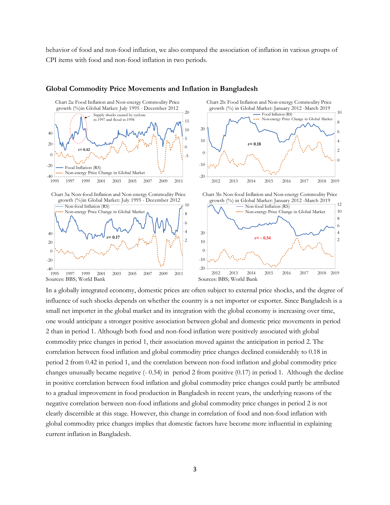behavior of food and non-food inflation, we also compared the association of inflation in various groups of CPI items with food and non-food inflation in two periods.



#### **Global Commodity Price Movements and Inflation in Bangladesh**

In a globally integrated economy, domestic prices are often subject to external price shocks, and the degree of influence of such shocks depends on whether the country is a net importer or exporter. Since Bangladesh is a small net importer in the global market and its integration with the global economy is increasing over time, one would anticipate a stronger positive association between global and domestic price movements in period 2 than in period 1. Although both food and non-food inflation were positively associated with global commodity price changes in period 1, their association moved against the anticipation in period 2. The correlation between food inflation and global commodity price changes declined considerably to 0.18 in period 2 from 0.42 in period 1, and the correlation between non-food inflation and global commodity price changes unusually became negative (- 0.54) in period 2 from positive (0.17) in period 1. Although the decline in positive correlation between food inflation and global commodity price changes could partly be attributed to a gradual improvement in food production in Bangladesh in recent years, the underlying reasons of the negative correlation between non-food inflations and global commodity price changes in period 2 is not clearly discernible at this stage. However, this change in correlation of food and non-food inflation with global commodity price changes implies that domestic factors have become more influential in explaining current inflation in Bangladesh.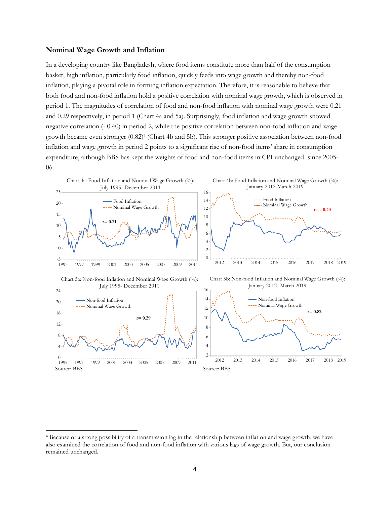#### **Nominal Wage Growth and Inflation**

l

In a developing country like Bangladesh, where food items constitute more than half of the consumption basket, high inflation, particularly food inflation, quickly feeds into wage growth and thereby non-food inflation, playing a pivotal role in forming inflation expectation. Therefore, it is reasonable to believe that both food and non-food inflation hold a positive correlation with nominal wage growth, which is observed in period 1. The magnitudes of correlation of food and non-food inflation with nominal wage growth were 0.21 and 0.29 respectively, in period 1 (Chart 4a and 5a). Surprisingly, food inflation and wage growth showed negative correlation (- 0.40) in period 2, while the positive correlation between non-food inflation and wage growth became even stronger (0.82)<sup>4</sup> (Chart 4b and 5b). This stronger positive association between non-food inflation and wage growth in period 2 points to a significant rise of non-food items' share in consumption expenditure, although BBS has kept the weights of food and non-food items in CPI unchanged since 2005- 06.



<sup>4</sup> Because of a strong possibility of a transmission lag in the relationship between inflation and wage growth, we have also examined the correlation of food and non-food inflation with various lags of wage growth. But, our conclusion remained unchanged.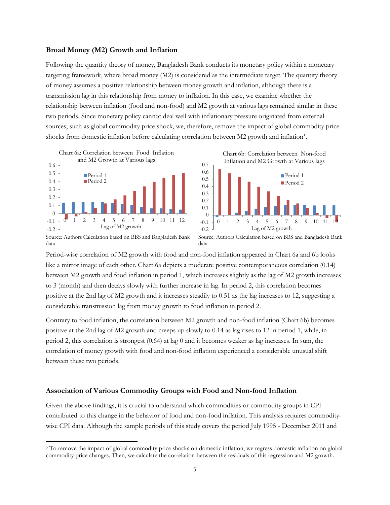#### **Broad Money (M2) Growth and Inflation**

Following the quantity theory of money, Bangladesh Bank conducts its monetary policy within a monetary targeting framework, where broad money (M2) is considered as the intermediate target. The quantity theory of money assumes a positive relationship between money growth and inflation, although there is a transmission lag in this relationship from money to inflation. In this case, we examine whether the relationship between inflation (food and non-food) and M2 growth at various lags remained similar in these two periods. Since monetary policy cannot deal well with inflationary pressure originated from external sources, such as global commodity price shock, we, therefore, remove the impact of global commodity price shocks from domestic inflation before calculating correlation between M2 growth and inflation<sup>5</sup>.

> 0.6 0.7



Period 1 Chart 6b: Correlation between Non-food Inflation and M2 Growth at Various lags



Source: Authors Calculation based on BBS and Bangladesh Bank data

 $\overline{\phantom{a}}$ 

Source: Authors Calculation based on BBS and Bangladesh Bank data

Period-wise correlation of M2 growth with food and non-food inflation appeared in Chart 6a and 6b looks like a mirror image of each other. Chart 6a depicts a moderate positive contemporaneous correlation (0.14) between M2 growth and food inflation in period 1, which increases slightly as the lag of M2 growth increases to 3 (month) and then decays slowly with further increase in lag. In period 2, this correlation becomes positive at the 2nd lag of M2 growth and it increases steadily to 0.51 as the lag increases to 12, suggesting a considerable transmission lag from money growth to food inflation in period 2.

Contrary to food inflation, the correlation between M2 growth and non-food inflation (Chart 6b) becomes positive at the 2nd lag of M2 growth and creeps up slowly to 0.14 as lag rises to 12 in period 1, while, in period 2, this correlation is strongest (0.64) at lag 0 and it becomes weaker as lag increases. In sum, the correlation of money growth with food and non-food inflation experienced a considerable unusual shift between these two periods.

## **Association of Various Commodity Groups with Food and Non-food Inflation**

Given the above findings, it is crucial to understand which commodities or commodity groups in CPI contributed to this change in the behavior of food and non-food inflation. This analysis requires commoditywise CPI data. Although the sample periods of this study covers the period July 1995 - December 2011 and

<sup>&</sup>lt;sup>5</sup> To remove the impact of global commodity price shocks on domestic inflation, we regress domestic inflation on global commodity price changes. Then, we calculate the correlation between the residuals of this regression and M2 growth.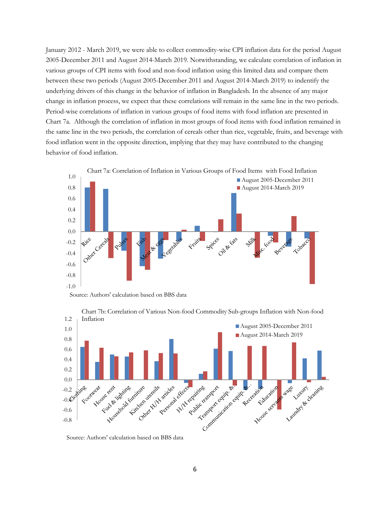January 2012 - March 2019, we were able to collect commodity-wise CPI inflation data for the period August 2005-December 2011 and August 2014-March 2019. Notwithstanding, we calculate correlation of inflation in various groups of CPI items with food and non-food inflation using this limited data and compare them between these two periods (August 2005-December 2011 and August 2014-March 2019) to indentify the underlying drivers of this change in the behavior of inflation in Bangladesh. In the absence of any major change in inflation process, we expect that these correlations will remain in the same line in the two periods. Period-wise correlations of inflation in various groups of food items with food inflation are presented in Chart 7a. Although the correlation of inflation in most groups of food items with food inflation remained in the same line in the two periods, the correlation of cereals other than rice, vegetable, fruits, and beverage with food inflation went in the opposite direction, implying that they may have contributed to the changing behavior of food inflation.







Chart 7b: Correlation of Various Non-food Commodity Sub-groups Inflation with Non-food

Source: Authors' calculation based on BBS data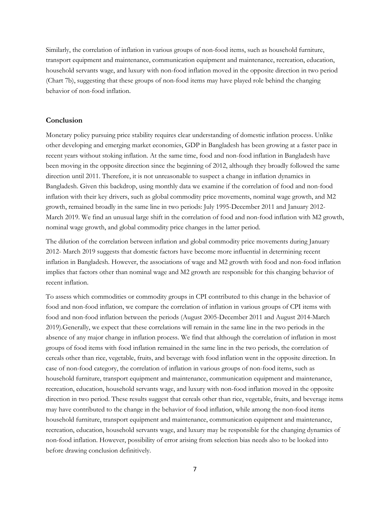Similarly, the correlation of inflation in various groups of non-food items, such as household furniture, transport equipment and maintenance, communication equipment and maintenance, recreation, education, household servants wage, and luxury with non-food inflation moved in the opposite direction in two period (Chart 7b), suggesting that these groups of non-food items may have played role behind the changing behavior of non-food inflation.

## **Conclusion**

Monetary policy pursuing price stability requires clear understanding of domestic inflation process. Unlike other developing and emerging market economies, GDP in Bangladesh has been growing at a faster pace in recent years without stoking inflation. At the same time, food and non-food inflation in Bangladesh have been moving in the opposite direction since the beginning of 2012, although they broadly followed the same direction until 2011. Therefore, it is not unreasonable to suspect a change in inflation dynamics in Bangladesh. Given this backdrop, using monthly data we examine if the correlation of food and non-food inflation with their key drivers, such as global commodity price movements, nominal wage growth, and M2 growth, remained broadly in the same line in two periods: July 1995-December 2011 and January 2012- March 2019. We find an unusual large shift in the correlation of food and non-food inflation with M2 growth, nominal wage growth, and global commodity price changes in the latter period.

The dilution of the correlation between inflation and global commodity price movements during January 2012- March 2019 suggests that domestic factors have become more influential in determining recent inflation in Bangladesh. However, the associations of wage and M2 growth with food and non-food inflation implies that factors other than nominal wage and M2 growth are responsible for this changing behavior of recent inflation.

To assess which commodities or commodity groups in CPI contributed to this change in the behavior of food and non-food inflation, we compare the correlation of inflation in various groups of CPI items with food and non-food inflation between the periods (August 2005-December 2011 and August 2014-March 2019).Generally, we expect that these correlations will remain in the same line in the two periods in the absence of any major change in inflation process. We find that although the correlation of inflation in most groups of food items with food inflation remained in the same line in the two periods, the correlation of cereals other than rice, vegetable, fruits, and beverage with food inflation went in the opposite direction. In case of non-food category, the correlation of inflation in various groups of non-food items, such as household furniture, transport equipment and maintenance, communication equipment and maintenance, recreation, education, household servants wage, and luxury with non-food inflation moved in the opposite direction in two period. These results suggest that cereals other than rice, vegetable, fruits, and beverage items may have contributed to the change in the behavior of food inflation, while among the non-food items household furniture, transport equipment and maintenance, communication equipment and maintenance, recreation, education, household servants wage, and luxury may be responsible for the changing dynamics of non-food inflation. However, possibility of error arising from selection bias needs also to be looked into before drawing conclusion definitively.